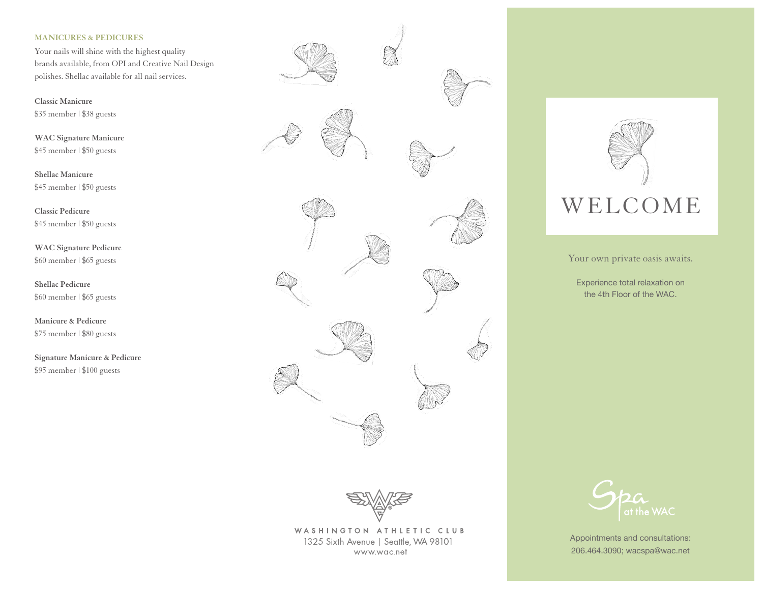# **MANICURES & PEDICURES**

Your nails will shine with the highest quality brands available, from OPI and Creative Nail Design polishes. Shellac available for all nail services.

**Classic Manicure** \$35 member | \$38 guests

**WAC Signature Manicure** \$45 member | \$50 guests

**Shellac Manicure** \$45 member | \$50 guests

**Classic Pedicure** \$45 member | \$50 guests

**WAC Signature Pedicure** \$60 member | \$65 guests

**Shellac Pedicure** \$60 member | \$65 guests

**Manicure & Pedicure** \$75 member | \$80 guests

**Signature Manicure & Pedicure** \$95 member | \$100 guests





WASHINGTON ATHLETIC CLUB 1325 Sixth Avenue | Seattle, WA 98101 www.wac.net



Your own private oasis awaits.

Experience total relaxation on the 4th Floor of the WAC.



Appointments and consultations: 206.464.3090; wacspa@wac.net